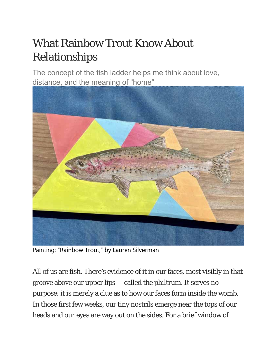# What Rainbow Trout Know About Relationships

The concept of the fish ladder helps me think about love, distance, and the meaning of "home"



Painting: "Rainbow Trout," by Lauren Silverman

All of us are fish. There's evidence of it in our faces, most visibly in that groove above our upper lips — called the philtrum. It serves no purpose; it is merely a clue as to how our faces form inside the womb. In those first few weeks, our tiny nostrils emerge near the tops of our heads and our eyes are way out on the sides. For a brief window of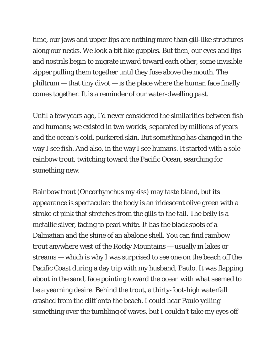time, our jaws and upper lips are nothing more than gill-like structures along our necks. We look a bit like guppies. But then, our eyes and lips and nostrils begin to migrate inward toward each other, some invisible zipper pulling them together until they fuse above the mouth. The  $philtrum - that tiny divot - is the place where the human face finally$ comes together. It is a reminder of our water-dwelling past.

Until a few years ago, I'd never considered the similarities between fish and humans; we existed in two worlds, separated by millions of years and the ocean's cold, puckered skin. But something has changed in the way I see fish. And also, in the way I see humans. It started with a sole rainbow trout, twitching toward the Pacific Ocean, searching for something new.

Rainbow trout (*Oncorhynchus mykiss*) may taste bland, but its appearance is spectacular: the body is an iridescent olive green with a stroke of pink that stretches from the gills to the tail. The belly is a metallic silver, fading to pearl white. It has the black spots of a Dalmatian and the shine of an abalone shell. You can find rainbow trout anywhere west of the Rocky Mountains — usually in lakes or streams — which is why I was surprised to see one on the beach off the Pacific Coast during a day trip with my husband, Paulo. It was flapping about in the sand, face pointing toward the ocean with what seemed to be a yearning desire. Behind the trout, a thirty-foot-high waterfall crashed from the cliff onto the beach. I could hear Paulo yelling something over the tumbling of waves, but I couldn't take my eyes off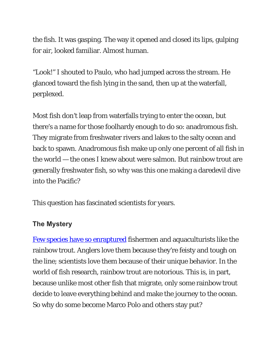the fish. It was gasping. The way it opened and closed its lips, gulping for air, looked familiar. Almost human.

"Look!" I shouted to Paulo, who had jumped across the stream. He glanced toward the fish lying in the sand, then up at the waterfall, perplexed.

Most fish don't leap from waterfalls trying to enter the ocean, but there's a name for those foolhardy enough to do so: anadromous fish. They migrate from freshwater rivers and lakes to the salty ocean and back to spawn. Anadromous fish make up only one percent of all fish in the world — the ones I knew about were salmon. But rainbow trout are generally freshwater fish, so why was this one making a daredevil dive into the Pacific?

This question has fascinated scientists for years.

## **The Mystery**

Few species have so enraptured fishermen and aquaculturists like the rainbow trout. Anglers love them because they're feisty and tough on the line; scientists love them because of their unique behavior. In the world of fish research, rainbow trout are notorious. This is, in part, because unlike most other fish that migrate, only *some* rainbow trout decide to leave everything behind and make the journey to the ocean. So why do some become Marco Polo and others stay put?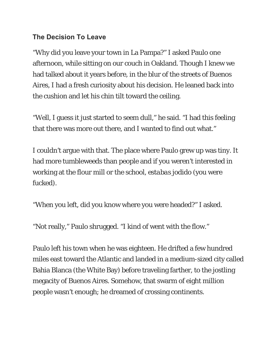## **The Decision To Leave**

"Why did you leave your town in La Pampa?" I asked Paulo one afternoon, while sitting on our couch in Oakland. Though I knew we had talked about it years before, in the blur of the streets of Buenos Aires, I had a fresh curiosity about his decision. He leaned back into the cushion and let his chin tilt toward the ceiling.

"Well, I guess it just started to seem dull," he said. "I had this feeling that there was more out there, and I wanted to find out what."

I couldn't argue with that. The place where Paulo grew up was tiny. It had more tumbleweeds than people and if you weren't interested in working at the flour mill or the school, *estabas jodido* (you were fucked).

"When you left, did you know where you were headed?" I asked.

"Not really," Paulo shrugged. "I kind of went with the flow."

Paulo left his town when he was eighteen. He drifted a few hundred miles east toward the Atlantic and landed in a medium-sized city called Bahia Blanca (the White Bay) before traveling farther, to the jostling megacity of Buenos Aires. Somehow, that swarm of eight million people wasn't enough; he dreamed of crossing continents.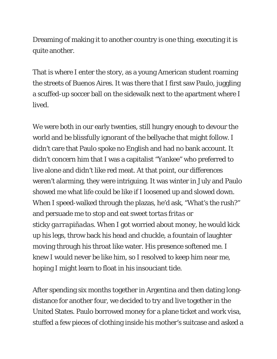Dreaming of making it to another country is one thing, executing it is quite another.

That is where I enter the story, as a young American student roaming the streets of Buenos Aires. It was there that I first saw Paulo, juggling a scuffed-up soccer ball on the sidewalk next to the apartment where I lived.

We were both in our early twenties, still hungry enough to devour the world and be blissfully ignorant of the bellyache that might follow. I didn't care that Paulo spoke no English and had no bank account. It didn't concern him that I was a capitalist "Yankee" who preferred to live alone and didn't like red meat. At that point, our differences weren't alarming, they were intriguing. It was winter in July and Paulo showed me what life could be like if I loosened up and slowed down. When I speed-walked through the plazas, he'd ask, "What's the rush?" and persuade me to stop and eat sweet *tortas fritas* or sticky *garrapiñadas*. When I got worried about money, he would kick up his legs, throw back his head and chuckle, a fountain of laughter moving through his throat like water. His presence softened me. I knew I would never be like him, so I resolved to keep him near me, hoping I might learn to float in his insouciant tide.

After spending six months together in Argentina and then dating longdistance for another four, we decided to try and live together in the United States. Paulo borrowed money for a plane ticket and work visa, stuffed a few pieces of clothing inside his mother's suitcase and asked a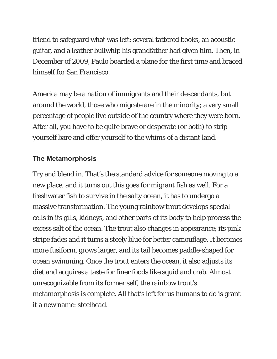friend to safeguard what was left: several tattered books, an acoustic guitar, and a leather bullwhip his grandfather had given him. Then, in December of 2009, Paulo boarded a plane for the first time and braced himself for San Francisco.

America may be a nation of immigrants and their descendants, but around the world, those who migrate are in the minority; a very small percentage of people live outside of the country where they were born. After all, you have to be quite brave or desperate (or both) to strip yourself bare and offer yourself to the whims of a distant land.

#### **The Metamorphosis**

Try and blend in. That's the standard advice for someone moving to a new place, and it turns out this goes for migrant fish as well. For a freshwater fish to survive in the salty ocean, it has to undergo a massive transformation. The young rainbow trout develops special cells in its gills, kidneys, and other parts of its body to help process the excess salt of the ocean. The trout also changes in appearance; its pink stripe fades and it turns a steely blue for better camouflage. It becomes more fusiform, grows larger, and its tail becomes paddle-shaped for ocean swimming. Once the trout enters the ocean, it also adjusts its diet and acquires a taste for finer foods like squid and crab. Almost unrecognizable from its former self, the rainbow trout's metamorphosis is complete. All that's left for us humans to do is grant it a new name: *steelhead*.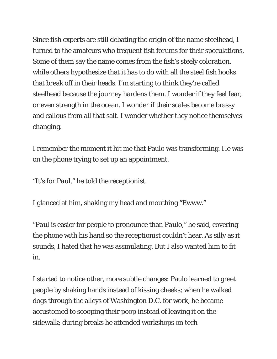Since fish experts are still debating the origin of the name steelhead, I turned to the amateurs who frequent fish forums for their speculations. Some of them say the name comes from the fish's steely coloration, while others hypothesize that it has to do with all the steel fish hooks that break off in their heads. I'm starting to think they're called steelhead because the journey hardens them. I wonder if they feel fear, or even strength in the ocean. I wonder if their scales become brassy and callous from all that salt. I wonder whether they notice themselves changing.

I remember the moment it hit me that Paulo was transforming. He was on the phone trying to set up an appointment.

"It's for *Paul*," he told the receptionist.

I glanced at him, shaking my head and mouthing "Ewww."

"*Paul* is easier for people to pronounce than *Paulo*," he said, covering the phone with his hand so the receptionist couldn't hear. As silly as it sounds, I hated that he was assimilating. But I also wanted him to fit in.

I started to notice other, more subtle changes: Paulo learned to greet people by shaking hands instead of kissing cheeks; when he walked dogs through the alleys of Washington D.C. for work, he became accustomed to scooping their poop instead of leaving it on the sidewalk; during breaks he attended workshops on tech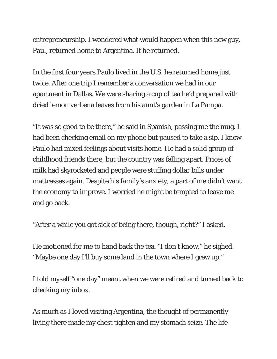entrepreneurship. I wondered what would happen when this new guy, Paul, returned home to Argentina. If he returned.

In the first four years Paulo lived in the U.S. he returned home just twice. After one trip I remember a conversation we had in our apartment in Dallas. We were sharing a cup of tea he'd prepared with dried lemon verbena leaves from his aunt's garden in La Pampa.

"It was so good to be there," he said in Spanish, passing me the mug. I had been checking email on my phone but paused to take a sip. I knew Paulo had mixed feelings about visits home. He had a solid group of childhood friends there, but the country was falling apart. Prices of milk had skyrocketed and people were stuffing dollar bills under mattresses again. Despite his family's anxiety, a part of me didn't want the economy to improve. I worried he might be tempted to leave me and go back.

"After a while you got sick of being there, though, right?" I asked.

He motioned for me to hand back the tea. "I don't know," he sighed. "Maybe one day I'll buy some land in the town where I grew up."

I told myself "one day" meant when we were retired and turned back to checking my inbox.

As much as I loved visiting Argentina, the thought of permanently living there made my chest tighten and my stomach seize. The life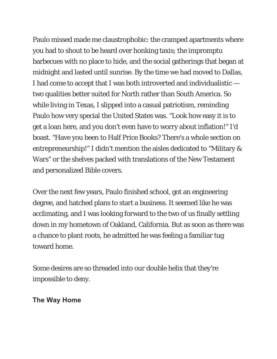Paulo missed made me claustrophobic: the cramped apartments where you had to shout to be heard over honking taxis; the impromptu barbecues with no place to hide, and the social gatherings that began at midnight and lasted until sunrise. By the time we had moved to Dallas, I had come to accept that I was both introverted and individualistic two qualities better suited for North rather than South America. So while living in Texas, I slipped into a casual patriotism, reminding Paulo how very special the United States was. "Look how easy it is to get a loan here, and you don't even have to worry about inflation!" I'd boast. "Have you been to Half Price Books? There's a whole section on entrepreneurship!" I didn't mention the aisles dedicated to "Military & Wars" or the shelves packed with translations of the New Testament and personalized Bible covers.

Over the next few years, Paulo finished school, got an engineering degree, and hatched plans to start a business. It seemed like he was acclimating, and I was looking forward to the two of us finally settling down in my hometown of Oakland, California. But as soon as there was a chance to plant roots, he admitted he was feeling a familiar tug toward home.

Some desires are so threaded into our double helix that they're impossible to deny.

**The Way Home**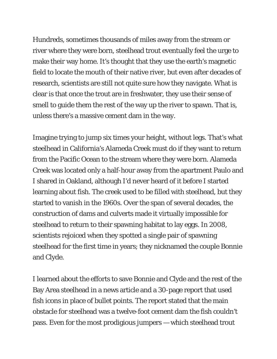Hundreds, sometimes thousands of miles away from the stream or river where they were born, steelhead trout eventually feel the urge to make their way home. It's thought that they use the earth's magnetic field to locate the mouth of their native river, but even after decades of research, scientists are still not quite sure how they navigate. What is clear is that once the trout are in freshwater, they use their sense of smell to guide them the rest of the way up the river to spawn. That is, unless there's a massive cement dam in the way.

Imagine trying to jump six times your height, without legs. That's what steelhead in California's Alameda Creek must do if they want to return from the Pacific Ocean to the stream where they were born. Alameda Creek was located only a half-hour away from the apartment Paulo and I shared in Oakland, although I'd never heard of it before I started learning about fish. The creek used to be filled with steelhead, but they started to vanish in the 1960s. Over the span of several decades, the construction of dams and culverts made it virtually impossible for steelhead to return to their spawning habitat to lay eggs. In 2008, scientists rejoiced when they spotted a single pair of spawning steelhead for the first time in years; they nicknamed the couple Bonnie and Clyde.

I learned about the efforts to save Bonnie and Clyde and the rest of the Bay Area steelhead in a news article and a 30-page report that used fish icons in place of bullet points. The report stated that the main obstacle for steelhead was a twelve-foot cement dam the fish couldn't pass. Even for the most prodigious jumpers — which steelhead trout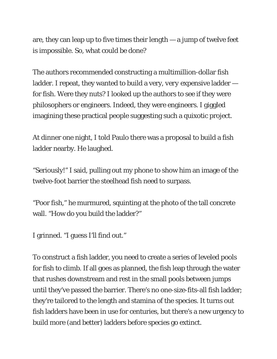are, they can leap up to five times their length — a jump of twelve feet is impossible. So, what could be done?

The authors recommended constructing a multimillion-dollar fish ladder. I repeat, they wanted to build a very, *very* expensive ladder for fish. Were they nuts? I looked up the authors to see if they were philosophers or engineers. Indeed, they were engineers. I giggled imagining these practical people suggesting such a quixotic project.

At dinner one night, I told Paulo there was a proposal to build a fish ladder nearby. He laughed.

"Seriously!" I said, pulling out my phone to show him an image of the twelve-foot barrier the steelhead fish need to surpass.

"Poor fish," he murmured, squinting at the photo of the tall concrete wall. "How do you build the ladder?"

I grinned. "I guess I'll find out."

To construct a fish ladder, you need to create a series of leveled pools for fish to climb. If all goes as planned, the fish leap through the water that rushes downstream and rest in the small pools between jumps until they've passed the barrier. There's no one-size-fits-all fish ladder; they're tailored to the length and stamina of the species. It turns out fish ladders have been in use for centuries, but there's a new urgency to build more (and better) ladders before species go extinct.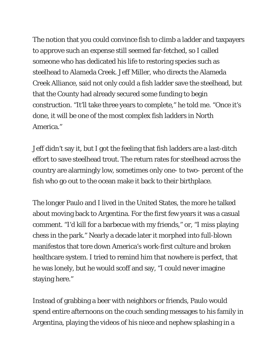The notion that you could convince fish to climb a ladder and taxpayers to approve such an expense still seemed far-fetched, so I called someone who has dedicated his life to restoring species such as steelhead to Alameda Creek. Jeff Miller, who directs the Alameda Creek Alliance, said not only could a fish ladder save the steelhead, but that the County had already secured some funding to begin construction. "It'll take three years to complete," he told me. "Once it's done, it will be one of the most complex fish ladders in North America."

Jeff didn't say it, but I got the feeling that fish ladders are a last-ditch effort to save steelhead trout. The return rates for steelhead across the country are alarmingly low, sometimes only one- to two- percent of the fish who go out to the ocean make it back to their birthplace.

The longer Paulo and I lived in the United States, the more he talked about moving back to Argentina. For the first few years it was a casual comment. "I'd kill for a barbecue with my friends," or, "I miss playing chess in the park." Nearly a decade later it morphed into full-blown manifestos that tore down America's work-first culture and broken healthcare system. I tried to remind him that nowhere is perfect, that he was lonely, but he would scoff and say, "I could never imagine staying here."

Instead of grabbing a beer with neighbors or friends, Paulo would spend entire afternoons on the couch sending messages to his family in Argentina, playing the videos of his niece and nephew splashing in a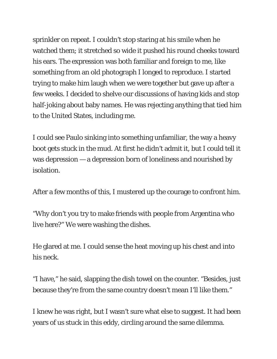sprinkler on repeat. I couldn't stop staring at his smile when he watched them; it stretched so wide it pushed his round cheeks toward his ears. The expression was both familiar and foreign to me, like something from an old photograph I longed to reproduce. I started trying to make him laugh when we were together but gave up after a few weeks. I decided to shelve our discussions of having kids and stop half-joking about baby names. He was rejecting anything that tied him to the United States, including me.

I could see Paulo sinking into something unfamiliar, the way a heavy boot gets stuck in the mud. At first he didn't admit it, but I could tell it was depression — a depression born of loneliness and nourished by isolation.

After a few months of this, I mustered up the courage to confront him.

"Why don't you try to make friends with people from Argentina who live here?" We were washing the dishes.

He glared at me. I could sense the heat moving up his chest and into his neck.

"I have," he said, slapping the dish towel on the counter. "Besides, just because they're from the same country doesn't mean I'll like them."

I knew he was right, but I wasn't sure what else to suggest. It had been years of us stuck in this eddy, circling around the same dilemma.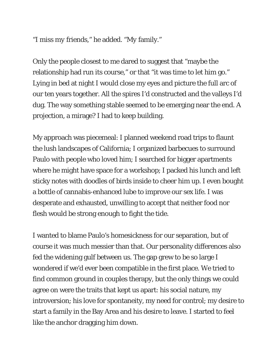"I miss *my* friends," he added. "*My* family."

Only the people closest to me dared to suggest that "maybe the relationship had run its course," or that "it was time to let him go." Lying in bed at night I would close my eyes and picture the full arc of our ten years together. All the spires I'd constructed and the valleys I'd dug. The way something stable seemed to be emerging near the end. A projection, a mirage? I had to keep building.

My approach was piecemeal: I planned weekend road trips to flaunt the lush landscapes of California; I organized barbecues to surround Paulo with people who loved him; I searched for bigger apartments where he might have space for a workshop; I packed his lunch and left sticky notes with doodles of birds inside to cheer him up. I even bought a bottle of cannabis-enhanced lube to improve our sex life. I was desperate and exhausted, unwilling to accept that neither food nor flesh would be strong enough to fight the tide.

I wanted to blame Paulo's homesickness for our separation, but of course it was much messier than that. Our personality differences also fed the widening gulf between us. The gap grew to be so large I wondered if we'd ever been compatible in the first place. We tried to find common ground in couples therapy, but the only things we could agree on were the traits that kept us apart: his social nature, my introversion; his love for spontaneity, my need for control; my desire to start a family in the Bay Area and his desire to leave. I started to feel like the anchor dragging him down.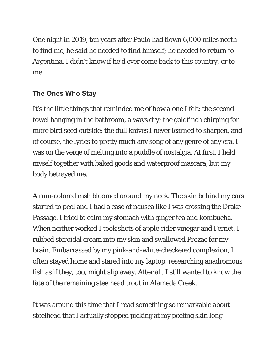One night in 2019, ten years after Paulo had flown 6,000 miles north to find me, he said he needed to find himself; he needed to return to Argentina. I didn't know if he'd ever come back to this country, or to me.

## **The Ones Who Stay**

It's the little things that reminded me of how alone I felt: the second towel hanging in the bathroom, always dry; the goldfinch chirping for more bird seed outside; the dull knives I never learned to sharpen, and of course, the lyrics to pretty much any song of any genre of any era. I was on the verge of melting into a puddle of nostalgia. At first, I held myself together with baked goods and waterproof mascara, but my body betrayed me.

A rum-colored rash bloomed around my neck. The skin behind my ears started to peel and I had a case of nausea like I was crossing the Drake Passage. I tried to calm my stomach with ginger tea and kombucha. When neither worked I took shots of apple cider vinegar and Fernet. I rubbed steroidal cream into my skin and swallowed Prozac for my brain. Embarrassed by my pink-and-white-checkered complexion, I often stayed home and stared into my laptop, researching anadromous fish as if they, too, might slip away. After all, I still wanted to know the fate of the remaining steelhead trout in Alameda Creek.

It was around this time that I read something so remarkable about steelhead that I actually stopped picking at my peeling skin long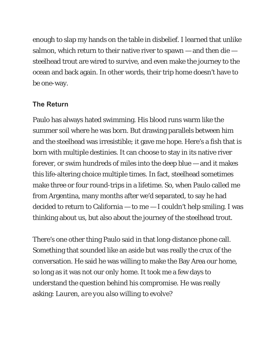enough to slap my hands on the table in disbelief. I learned that unlike salmon, which return to their native river to spawn  $-$  and then die  $$ steelhead trout are wired to survive, and even make the journey to the ocean and back again. In other words, their trip home doesn't have to be one-way.

### **The Return**

Paulo has always hated swimming. His blood runs warm like the summer soil where he was born. But drawing parallels between him and the steelhead was irresistible; it gave me hope. Here's a fish that is born with multiple destinies. It can choose to stay in its native river forever, or swim hundreds of miles into the deep blue — and it makes this life-altering choice multiple times. In fact, steelhead sometimes make three or four round-trips in a lifetime. So, when Paulo called me from Argentina, many months after we'd separated, to say he had decided to return to California — to me — I couldn't help smiling. I was thinking about us, but also about the journey of the steelhead trout.

There's one other thing Paulo said in that long-distance phone call. Something that sounded like an aside but was really the crux of the conversation. He said he was willing to make the Bay Area our home, so long as it was not our *only* home. It took me a few days to understand the question behind his compromise. He was really asking: *Lauren, are you also willing to evolve*?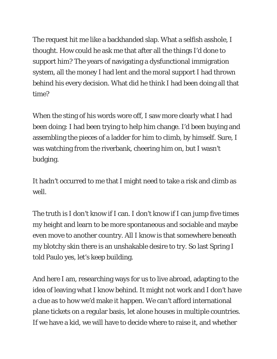The request hit me like a backhanded slap. What a selfish asshole, I thought. How could he ask me that after all the things I'd done to support him? The years of navigating a dysfunctional immigration system, all the money I had lent and the moral support I had thrown behind his every decision. What did he think I had been doing all that time?

When the sting of his words wore off, I saw more clearly what I had been doing: I had been trying to help *him* change. I'd been buying and assembling the pieces of a ladder for him to climb, by himself. Sure, I was watching from the riverbank, cheering him on, but I wasn't budging.

It hadn't occurred to me that I might need to take a risk and climb as well.

The truth is I don't know if I can. I don't know if I can jump five times my height and learn to be more spontaneous and sociable and maybe even move to another country. All I know is that somewhere beneath my blotchy skin there is an unshakable desire to try. So last Spring I told Paulo yes, let's keep building.

And here I am, researching ways for us to live abroad, adapting to the idea of leaving what I know behind. It might not work and I don't have a clue as to how we'd make it happen. We can't afford international plane tickets on a regular basis, let alone houses in multiple countries. If we have a kid, we will have to decide where to raise it, and whether